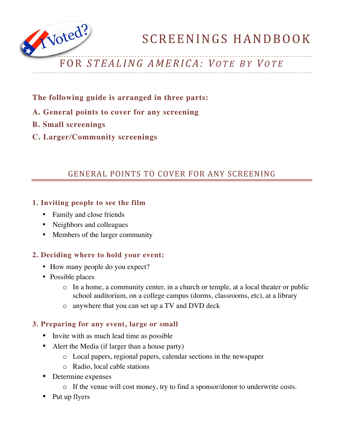

# FOR *STEAL ING AMERICA: V O T E B Y V O T E*

- **The following guide is arranged in three parts:**
- **A. General points to cover for any screening**
- **B. Small screenings**
- **C. Larger/Community screenings**

## GENERAL POINTS TO COVER FOR ANY SCREENING

### **1. Inviting people to see the film**

- Family and close friends
- Neighbors and colleagues
- Members of the larger community

#### **2. Deciding where to hold your event:**

- How many people do you expect?
- Possible places
	- o In a home, a community center, in a church or temple, at a local theater or public school auditorium, on a college campus (dorms, classrooms, etc), at a library
	- o anywhere that you can set up a TV and DVD deck

#### **3. Preparing for any event, large or small**

- Invite with as much lead time as possible
- Alert the Media (if larger than a house party)
	- o Local papers, regional papers, calendar sections in the newspaper
	- o Radio, local cable stations
- Determine expenses
	- o If the venue will cost money, try to find a sponsor/donor to underwrite costs.
- Put up flyers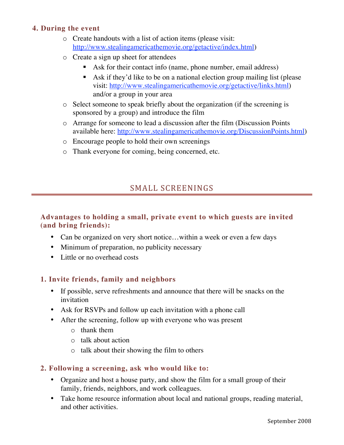#### **4. During the event**

- o Create handouts with a list of action items (please visit: http://www.stealingamericathemovie.org/getactive/index.html)
- o Create a sign up sheet for attendees
	- Ask for their contact info (name, phone number, email address)
	- Ask if they'd like to be on a national election group mailing list (please visit: http://www.stealingamericathemovie.org/getactive/links.html) and/or a group in your area
- o Select someone to speak briefly about the organization (if the screening is sponsored by a group) and introduce the film
- o Arrange for someone to lead a discussion after the film (Discussion Points available here: http://www.stealingamericathemovie.org/DiscussionPoints.html)
- o Encourage people to hold their own screenings
- o Thank everyone for coming, being concerned, etc.

## SMALL SCREENINGS

#### **Advantages to holding a small, private event to which guests are invited (and bring friends):**

- Can be organized on very short notice...within a week or even a few days
- Minimum of preparation, no publicity necessary
- Little or no overhead costs

#### **1. Invite friends, family and neighbors**

- If possible, serve refreshments and announce that there will be snacks on the invitation
- Ask for RSVPs and follow up each invitation with a phone call
- After the screening, follow up with everyone who was present
	- o thank them
	- o talk about action
	- o talk about their showing the film to others

#### **2. Following a screening, ask who would like to:**

- Organize and host a house party, and show the film for a small group of their family, friends, neighbors, and work colleagues.
- Take home resource information about local and national groups, reading material, and other activities.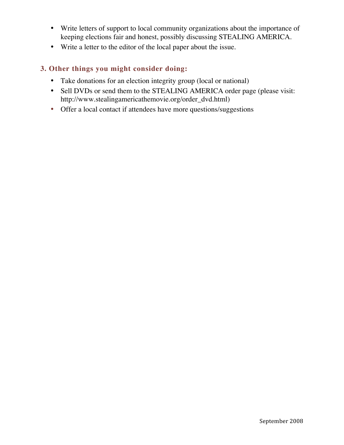- Write letters of support to local community organizations about the importance of keeping elections fair and honest, possibly discussing STEALING AMERICA.
- Write a letter to the editor of the local paper about the issue.

#### **3. Other things you might consider doing:**

- Take donations for an election integrity group (local or national)
- Sell DVDs or send them to the STEALING AMERICA order page (please visit: http://www.stealingamericathemovie.org/order\_dvd.html)
- Offer a local contact if attendees have more questions/suggestions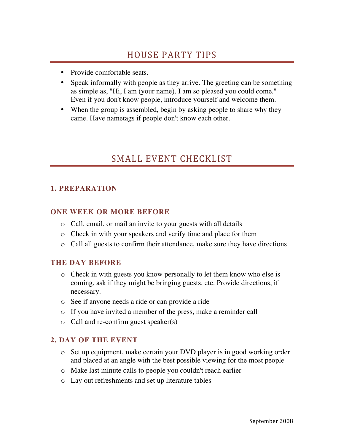- Provide comfortable seats.
- Speak informally with people as they arrive. The greeting can be something as simple as, "Hi, I am (your name). I am so pleased you could come." Even if you don't know people, introduce yourself and welcome them.
- When the group is assembled, begin by asking people to share why they came. Have nametags if people don't know each other.

# SMALL EVENT CHECKLIST

### **1. PREPARATION**

#### **ONE WEEK OR MORE BEFORE**

- o Call, email, or mail an invite to your guests with all details
- o Check in with your speakers and verify time and place for them
- o Call all guests to confirm their attendance, make sure they have directions

#### **THE DAY BEFORE**

- o Check in with guests you know personally to let them know who else is coming, ask if they might be bringing guests, etc. Provide directions, if necessary.
- o See if anyone needs a ride or can provide a ride
- o If you have invited a member of the press, make a reminder call
- o Call and re-confirm guest speaker(s)

#### **2. DAY OF THE EVENT**

- o Set up equipment, make certain your DVD player is in good working order and placed at an angle with the best possible viewing for the most people
- o Make last minute calls to people you couldn't reach earlier
- o Lay out refreshments and set up literature tables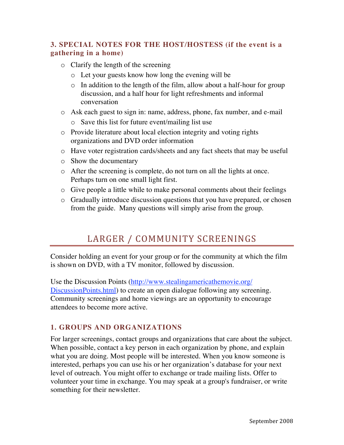### **3. SPECIAL NOTES FOR THE HOST/HOSTESS (if the event is a gathering in a home)**

- o Clarify the length of the screening
	- o Let your guests know how long the evening will be
	- o In addition to the length of the film, allow about a half-hour for group discussion, and a half hour for light refreshments and informal conversation
- o Ask each guest to sign in: name, address, phone, fax number, and e-mail
	- o Save this list for future event/mailing list use
- o Provide literature about local election integrity and voting rights organizations and DVD order information
- o Have voter registration cards/sheets and any fact sheets that may be useful
- o Show the documentary
- o After the screening is complete, do not turn on all the lights at once. Perhaps turn on one small light first.
- o Give people a little while to make personal comments about their feelings
- o Gradually introduce discussion questions that you have prepared, or chosen from the guide. Many questions will simply arise from the group.

# LARGER / COMMUNITY SCREENINGS

Consider holding an event for your group or for the community at which the film is shown on DVD, with a TV monitor, followed by discussion.

Use the Discussion Points (http://www.stealingamericathemovie.org/ DiscussionPoints.html) to create an open dialogue following any screening. Community screenings and home viewings are an opportunity to encourage attendees to become more active.

## **1. GROUPS AND ORGANIZATIONS**

For larger screenings, contact groups and organizations that care about the subject. When possible, contact a key person in each organization by phone, and explain what you are doing. Most people will be interested. When you know someone is interested, perhaps you can use his or her organization's database for your next level of outreach. You might offer to exchange or trade mailing lists. Offer to volunteer your time in exchange. You may speak at a group's fundraiser, or write something for their newsletter.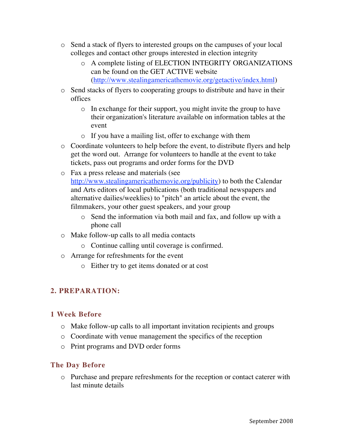- o Send a stack of flyers to interested groups on the campuses of your local colleges and contact other groups interested in election integrity
	- o A complete listing of ELECTION INTEGRITY ORGANIZATIONS can be found on the GET ACTIVE website (http://www.stealingamericathemovie.org/getactive/index.html)
- o Send stacks of flyers to cooperating groups to distribute and have in their offices
	- o In exchange for their support, you might invite the group to have their organization's literature available on information tables at the event
	- o If you have a mailing list, offer to exchange with them
- o Coordinate volunteers to help before the event, to distribute flyers and help get the word out. Arrange for volunteers to handle at the event to take tickets, pass out programs and order forms for the DVD
- o Fax a press release and materials (see http://www.stealingamericathemovie.org/publicity) to both the Calendar and Arts editors of local publications (both traditional newspapers and alternative dailies/weeklies) to "pitch" an article about the event, the filmmakers, your other guest speakers, and your group
	- o Send the information via both mail and fax, and follow up with a phone call
- o Make follow-up calls to all media contacts
	- o Continue calling until coverage is confirmed.
- o Arrange for refreshments for the event
	- o Either try to get items donated or at cost

## **2. PREPARATION:**

## **1 Week Before**

- o Make follow-up calls to all important invitation recipients and groups
- o Coordinate with venue management the specifics of the reception
- o Print programs and DVD order forms

## **The Day Before**

o Purchase and prepare refreshments for the reception or contact caterer with last minute details